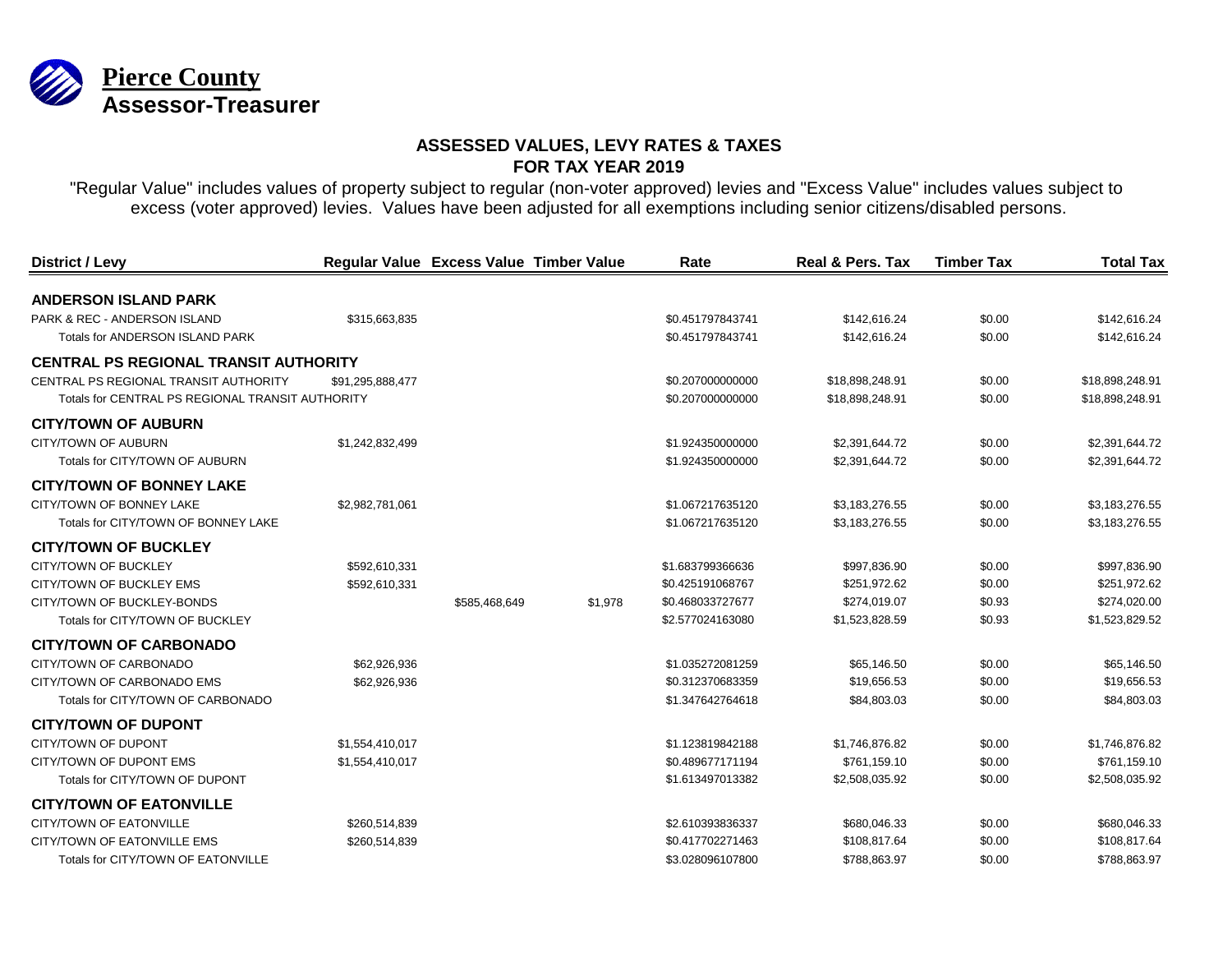

| District / Levy                                  |                  | Regular Value Excess Value Timber Value |         | Rate             | <b>Real &amp; Pers. Tax</b> | <b>Timber Tax</b> | <b>Total Tax</b> |
|--------------------------------------------------|------------------|-----------------------------------------|---------|------------------|-----------------------------|-------------------|------------------|
| <b>ANDERSON ISLAND PARK</b>                      |                  |                                         |         |                  |                             |                   |                  |
| PARK & REC - ANDERSON ISLAND                     | \$315,663,835    |                                         |         | \$0.451797843741 | \$142,616.24                | \$0.00            | \$142,616.24     |
| Totals for ANDERSON ISLAND PARK                  |                  |                                         |         | \$0.451797843741 | \$142,616.24                | \$0.00            | \$142,616.24     |
| <b>CENTRAL PS REGIONAL TRANSIT AUTHORITY</b>     |                  |                                         |         |                  |                             |                   |                  |
| CENTRAL PS REGIONAL TRANSIT AUTHORITY            | \$91,295,888,477 |                                         |         | \$0.207000000000 | \$18,898,248.91             | \$0.00            | \$18,898,248.91  |
| Totals for CENTRAL PS REGIONAL TRANSIT AUTHORITY |                  |                                         |         | \$0.207000000000 | \$18,898,248.91             | \$0.00            | \$18,898,248.91  |
| <b>CITY/TOWN OF AUBURN</b>                       |                  |                                         |         |                  |                             |                   |                  |
| CITY/TOWN OF AUBURN                              | \$1,242,832,499  |                                         |         | \$1.924350000000 | \$2,391,644.72              | \$0.00            | \$2,391,644.72   |
| Totals for CITY/TOWN OF AUBURN                   |                  |                                         |         | \$1.924350000000 | \$2,391,644.72              | \$0.00            | \$2,391,644.72   |
| <b>CITY/TOWN OF BONNEY LAKE</b>                  |                  |                                         |         |                  |                             |                   |                  |
| CITY/TOWN OF BONNEY LAKE                         | \$2,982,781,061  |                                         |         | \$1.067217635120 | \$3,183,276.55              | \$0.00            | \$3,183,276.55   |
| Totals for CITY/TOWN OF BONNEY LAKE              |                  |                                         |         | \$1.067217635120 | \$3,183,276.55              | \$0.00            | \$3,183,276.55   |
| <b>CITY/TOWN OF BUCKLEY</b>                      |                  |                                         |         |                  |                             |                   |                  |
| <b>CITY/TOWN OF BUCKLEY</b>                      | \$592,610,331    |                                         |         | \$1.683799366636 | \$997,836.90                | \$0.00            | \$997,836.90     |
| CITY/TOWN OF BUCKLEY EMS                         | \$592,610,331    |                                         |         | \$0.425191068767 | \$251,972.62                | \$0.00            | \$251,972.62     |
| CITY/TOWN OF BUCKLEY-BONDS                       |                  | \$585,468,649                           | \$1,978 | \$0.468033727677 | \$274,019.07                | \$0.93            | \$274,020.00     |
| Totals for CITY/TOWN OF BUCKLEY                  |                  |                                         |         | \$2,577024163080 | \$1,523,828.59              | \$0.93            | \$1,523,829.52   |
| <b>CITY/TOWN OF CARBONADO</b>                    |                  |                                         |         |                  |                             |                   |                  |
| CITY/TOWN OF CARBONADO                           | \$62,926,936     |                                         |         | \$1.035272081259 | \$65,146.50                 | \$0.00            | \$65,146.50      |
| CITY/TOWN OF CARBONADO EMS                       | \$62,926,936     |                                         |         | \$0.312370683359 | \$19,656.53                 | \$0.00            | \$19,656.53      |
| Totals for CITY/TOWN OF CARBONADO                |                  |                                         |         | \$1.347642764618 | \$84,803.03                 | \$0.00            | \$84,803.03      |
| <b>CITY/TOWN OF DUPONT</b>                       |                  |                                         |         |                  |                             |                   |                  |
| CITY/TOWN OF DUPONT                              | \$1,554,410,017  |                                         |         | \$1.123819842188 | \$1,746,876.82              | \$0.00            | \$1,746,876.82   |
| CITY/TOWN OF DUPONT EMS                          | \$1,554,410,017  |                                         |         | \$0.489677171194 | \$761,159.10                | \$0.00            | \$761,159.10     |
| Totals for CITY/TOWN OF DUPONT                   |                  |                                         |         | \$1.613497013382 | \$2,508,035.92              | \$0.00            | \$2,508,035.92   |
| <b>CITY/TOWN OF EATONVILLE</b>                   |                  |                                         |         |                  |                             |                   |                  |
| <b>CITY/TOWN OF EATONVILLE</b>                   | \$260,514,839    |                                         |         | \$2.610393836337 | \$680,046.33                | \$0.00            | \$680,046.33     |
| CITY/TOWN OF EATONVILLE EMS                      | \$260,514,839    |                                         |         | \$0.417702271463 | \$108,817.64                | \$0.00            | \$108,817.64     |
| Totals for CITY/TOWN OF EATONVILLE               |                  |                                         |         | \$3.028096107800 | \$788,863.97                | \$0.00            | \$788,863.97     |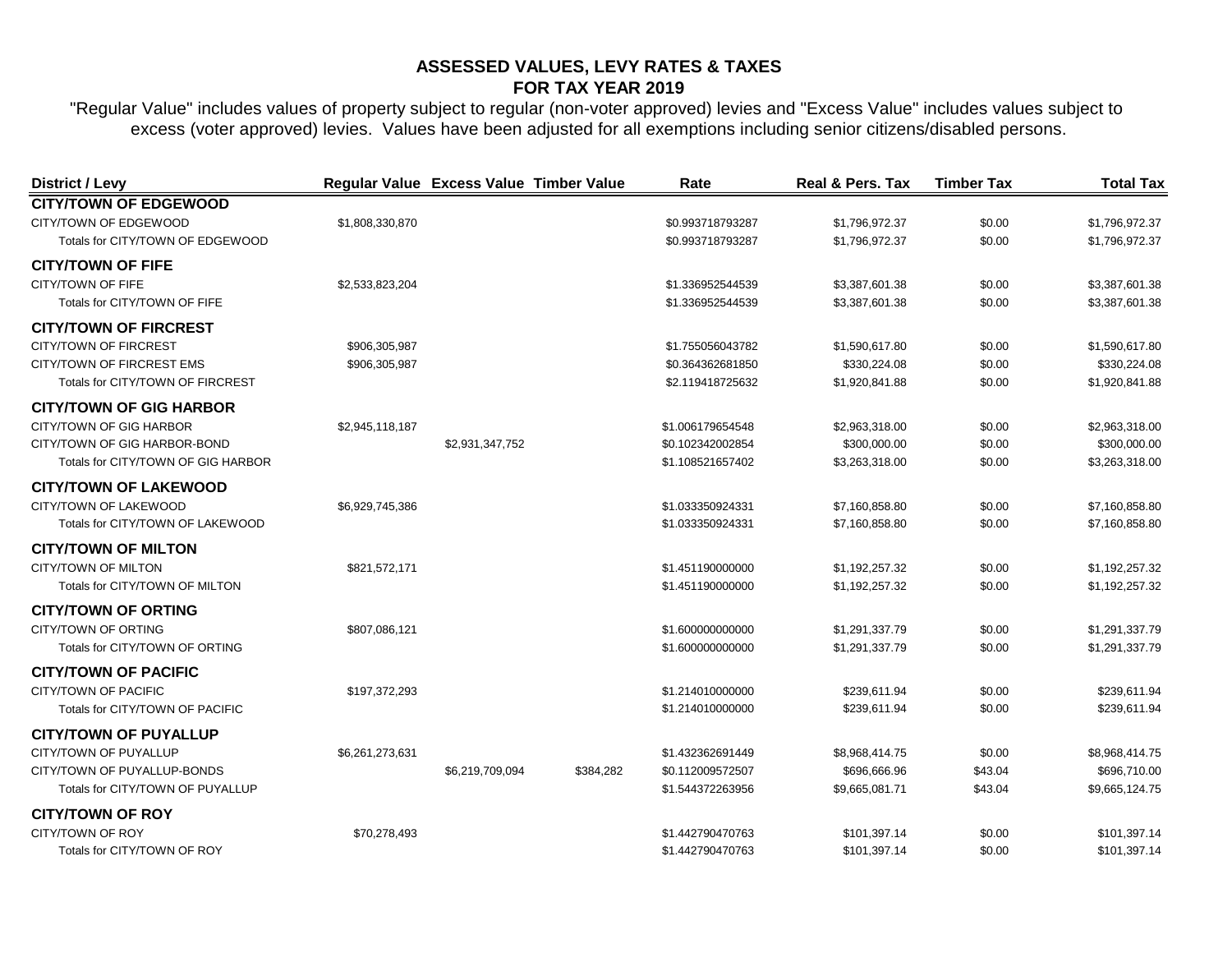| <b>District / Levy</b>             | Regular Value Excess Value Timber Value |                 |           | Rate             | <b>Real &amp; Pers. Tax</b> | <b>Timber Tax</b> | <b>Total Tax</b> |
|------------------------------------|-----------------------------------------|-----------------|-----------|------------------|-----------------------------|-------------------|------------------|
| <b>CITY/TOWN OF EDGEWOOD</b>       |                                         |                 |           |                  |                             |                   |                  |
| CITY/TOWN OF EDGEWOOD              | \$1,808,330,870                         |                 |           | \$0.993718793287 | \$1,796,972.37              | \$0.00            | \$1,796,972.37   |
| Totals for CITY/TOWN OF EDGEWOOD   |                                         |                 |           | \$0.993718793287 | \$1,796,972.37              | \$0.00            | \$1,796,972.37   |
| <b>CITY/TOWN OF FIFE</b>           |                                         |                 |           |                  |                             |                   |                  |
| CITY/TOWN OF FIFE                  | \$2,533,823,204                         |                 |           | \$1.336952544539 | \$3,387,601.38              | \$0.00            | \$3,387,601.38   |
| Totals for CITY/TOWN OF FIFE       |                                         |                 |           | \$1.336952544539 | \$3,387,601.38              | \$0.00            | \$3,387,601.38   |
| <b>CITY/TOWN OF FIRCREST</b>       |                                         |                 |           |                  |                             |                   |                  |
| CITY/TOWN OF FIRCREST              | \$906,305,987                           |                 |           | \$1.755056043782 | \$1,590,617.80              | \$0.00            | \$1,590,617.80   |
| CITY/TOWN OF FIRCREST EMS          | \$906,305,987                           |                 |           | \$0.364362681850 | \$330,224.08                | \$0.00            | \$330,224.08     |
| Totals for CITY/TOWN OF FIRCREST   |                                         |                 |           | \$2.119418725632 | \$1,920,841.88              | \$0.00            | \$1,920,841.88   |
| <b>CITY/TOWN OF GIG HARBOR</b>     |                                         |                 |           |                  |                             |                   |                  |
| CITY/TOWN OF GIG HARBOR            | \$2,945,118,187                         |                 |           | \$1.006179654548 | \$2,963,318.00              | \$0.00            | \$2,963,318.00   |
| CITY/TOWN OF GIG HARBOR-BOND       |                                         | \$2,931,347,752 |           | \$0.102342002854 | \$300,000.00                | \$0.00            | \$300,000.00     |
| Totals for CITY/TOWN OF GIG HARBOR |                                         |                 |           | \$1.108521657402 | \$3,263,318.00              | \$0.00            | \$3,263,318.00   |
| <b>CITY/TOWN OF LAKEWOOD</b>       |                                         |                 |           |                  |                             |                   |                  |
| CITY/TOWN OF LAKEWOOD              | \$6,929,745,386                         |                 |           | \$1.033350924331 | \$7,160,858.80              | \$0.00            | \$7,160,858.80   |
| Totals for CITY/TOWN OF LAKEWOOD   |                                         |                 |           | \$1.033350924331 | \$7,160,858.80              | \$0.00            | \$7,160,858.80   |
| <b>CITY/TOWN OF MILTON</b>         |                                         |                 |           |                  |                             |                   |                  |
| CITY/TOWN OF MILTON                | \$821,572,171                           |                 |           | \$1.451190000000 | \$1,192,257.32              | \$0.00            | \$1,192,257.32   |
| Totals for CITY/TOWN OF MILTON     |                                         |                 |           | \$1.451190000000 | \$1,192,257.32              | \$0.00            | \$1,192,257.32   |
| <b>CITY/TOWN OF ORTING</b>         |                                         |                 |           |                  |                             |                   |                  |
| CITY/TOWN OF ORTING                | \$807,086,121                           |                 |           | \$1.600000000000 | \$1,291,337.79              | \$0.00            | \$1,291,337.79   |
| Totals for CITY/TOWN OF ORTING     |                                         |                 |           | \$1.600000000000 | \$1,291,337.79              | \$0.00            | \$1,291,337.79   |
| <b>CITY/TOWN OF PACIFIC</b>        |                                         |                 |           |                  |                             |                   |                  |
| <b>CITY/TOWN OF PACIFIC</b>        | \$197,372,293                           |                 |           | \$1.214010000000 | \$239,611.94                | \$0.00            | \$239,611.94     |
| Totals for CITY/TOWN OF PACIFIC    |                                         |                 |           | \$1.214010000000 | \$239,611.94                | \$0.00            | \$239,611.94     |
| <b>CITY/TOWN OF PUYALLUP</b>       |                                         |                 |           |                  |                             |                   |                  |
| CITY/TOWN OF PUYALLUP              | \$6,261,273,631                         |                 |           | \$1.432362691449 | \$8,968,414.75              | \$0.00            | \$8,968,414.75   |
| CITY/TOWN OF PUYALLUP-BONDS        |                                         | \$6,219,709,094 | \$384,282 | \$0.112009572507 | \$696,666.96                | \$43.04           | \$696,710.00     |
| Totals for CITY/TOWN OF PUYALLUP   |                                         |                 |           | \$1.544372263956 | \$9,665,081.71              | \$43.04           | \$9,665,124.75   |
| <b>CITY/TOWN OF ROY</b>            |                                         |                 |           |                  |                             |                   |                  |
| CITY/TOWN OF ROY                   | \$70,278,493                            |                 |           | \$1.442790470763 | \$101,397.14                | \$0.00            | \$101,397.14     |
| Totals for CITY/TOWN OF ROY        |                                         |                 |           | \$1.442790470763 | \$101,397.14                | \$0.00            | \$101,397.14     |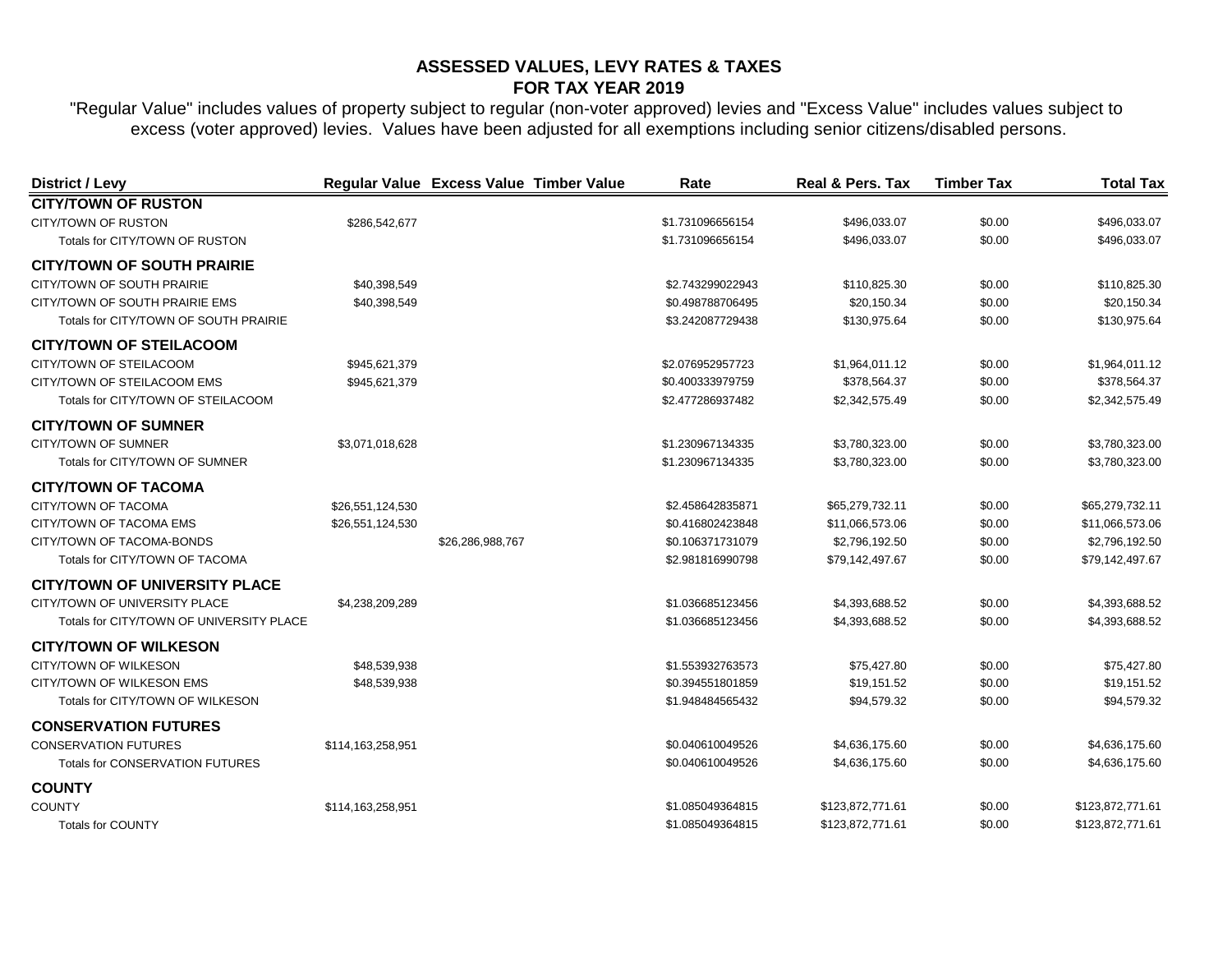| District / Levy                          |                   | Regular Value Excess Value Timber Value | Rate             | <b>Real &amp; Pers. Tax</b> | <b>Timber Tax</b> | <b>Total Tax</b> |
|------------------------------------------|-------------------|-----------------------------------------|------------------|-----------------------------|-------------------|------------------|
| <b>CITY/TOWN OF RUSTON</b>               |                   |                                         |                  |                             |                   |                  |
| CITY/TOWN OF RUSTON                      | \$286,542,677     |                                         | \$1.731096656154 | \$496,033.07                | \$0.00            | \$496,033.07     |
| Totals for CITY/TOWN OF RUSTON           |                   |                                         | \$1.731096656154 | \$496,033.07                | \$0.00            | \$496,033.07     |
| <b>CITY/TOWN OF SOUTH PRAIRIE</b>        |                   |                                         |                  |                             |                   |                  |
| CITY/TOWN OF SOUTH PRAIRIE               | \$40,398,549      |                                         | \$2.743299022943 | \$110,825.30                | \$0.00            | \$110,825.30     |
| CITY/TOWN OF SOUTH PRAIRIE EMS           | \$40,398,549      |                                         | \$0.498788706495 | \$20,150.34                 | \$0.00            | \$20,150.34      |
| Totals for CITY/TOWN OF SOUTH PRAIRIE    |                   |                                         | \$3.242087729438 | \$130,975.64                | \$0.00            | \$130,975.64     |
| <b>CITY/TOWN OF STEILACOOM</b>           |                   |                                         |                  |                             |                   |                  |
| CITY/TOWN OF STEILACOOM                  | \$945,621,379     |                                         | \$2.076952957723 | \$1,964,011.12              | \$0.00            | \$1,964,011.12   |
| CITY/TOWN OF STEILACOOM EMS              | \$945,621,379     |                                         | \$0.400333979759 | \$378,564.37                | \$0.00            | \$378,564.37     |
| Totals for CITY/TOWN OF STEILACOOM       |                   |                                         | \$2.477286937482 | \$2,342,575.49              | \$0.00            | \$2,342,575.49   |
| <b>CITY/TOWN OF SUMNER</b>               |                   |                                         |                  |                             |                   |                  |
| CITY/TOWN OF SUMNER                      | \$3,071,018,628   |                                         | \$1.230967134335 | \$3,780,323.00              | \$0.00            | \$3,780,323.00   |
| Totals for CITY/TOWN OF SUMNER           |                   |                                         | \$1.230967134335 | \$3,780,323.00              | \$0.00            | \$3,780,323.00   |
| <b>CITY/TOWN OF TACOMA</b>               |                   |                                         |                  |                             |                   |                  |
| CITY/TOWN OF TACOMA                      | \$26,551,124,530  |                                         | \$2.458642835871 | \$65,279,732.11             | \$0.00            | \$65,279,732.11  |
| CITY/TOWN OF TACOMA EMS                  | \$26,551,124,530  |                                         | \$0.416802423848 | \$11,066,573.06             | \$0.00            | \$11,066,573.06  |
| CITY/TOWN OF TACOMA-BONDS                |                   | \$26,286,988,767                        | \$0.106371731079 | \$2,796,192.50              | \$0.00            | \$2,796,192.50   |
| Totals for CITY/TOWN OF TACOMA           |                   |                                         | \$2.981816990798 | \$79,142,497.67             | \$0.00            | \$79,142,497.67  |
| <b>CITY/TOWN OF UNIVERSITY PLACE</b>     |                   |                                         |                  |                             |                   |                  |
| CITY/TOWN OF UNIVERSITY PLACE            | \$4,238,209,289   |                                         | \$1.036685123456 | \$4,393,688.52              | \$0.00            | \$4,393,688.52   |
| Totals for CITY/TOWN OF UNIVERSITY PLACE |                   |                                         | \$1.036685123456 | \$4,393,688.52              | \$0.00            | \$4,393,688.52   |
| <b>CITY/TOWN OF WILKESON</b>             |                   |                                         |                  |                             |                   |                  |
| CITY/TOWN OF WILKESON                    | \$48,539,938      |                                         | \$1.553932763573 | \$75,427.80                 | \$0.00            | \$75,427.80      |
| CITY/TOWN OF WILKESON EMS                | \$48,539,938      |                                         | \$0.394551801859 | \$19,151.52                 | \$0.00            | \$19,151.52      |
| Totals for CITY/TOWN OF WILKESON         |                   |                                         | \$1.948484565432 | \$94,579.32                 | \$0.00            | \$94,579.32      |
| <b>CONSERVATION FUTURES</b>              |                   |                                         |                  |                             |                   |                  |
| <b>CONSERVATION FUTURES</b>              | \$114,163,258,951 |                                         | \$0.040610049526 | \$4,636,175.60              | \$0.00            | \$4,636,175.60   |
| <b>Totals for CONSERVATION FUTURES</b>   |                   |                                         | \$0.040610049526 | \$4,636,175.60              | \$0.00            | \$4,636,175.60   |
| <b>COUNTY</b>                            |                   |                                         |                  |                             |                   |                  |
| <b>COUNTY</b>                            | \$114,163,258,951 |                                         | \$1.085049364815 | \$123,872,771.61            | \$0.00            | \$123,872,771.61 |
| <b>Totals for COUNTY</b>                 |                   |                                         | \$1.085049364815 | \$123,872,771.61            | \$0.00            | \$123,872,771.61 |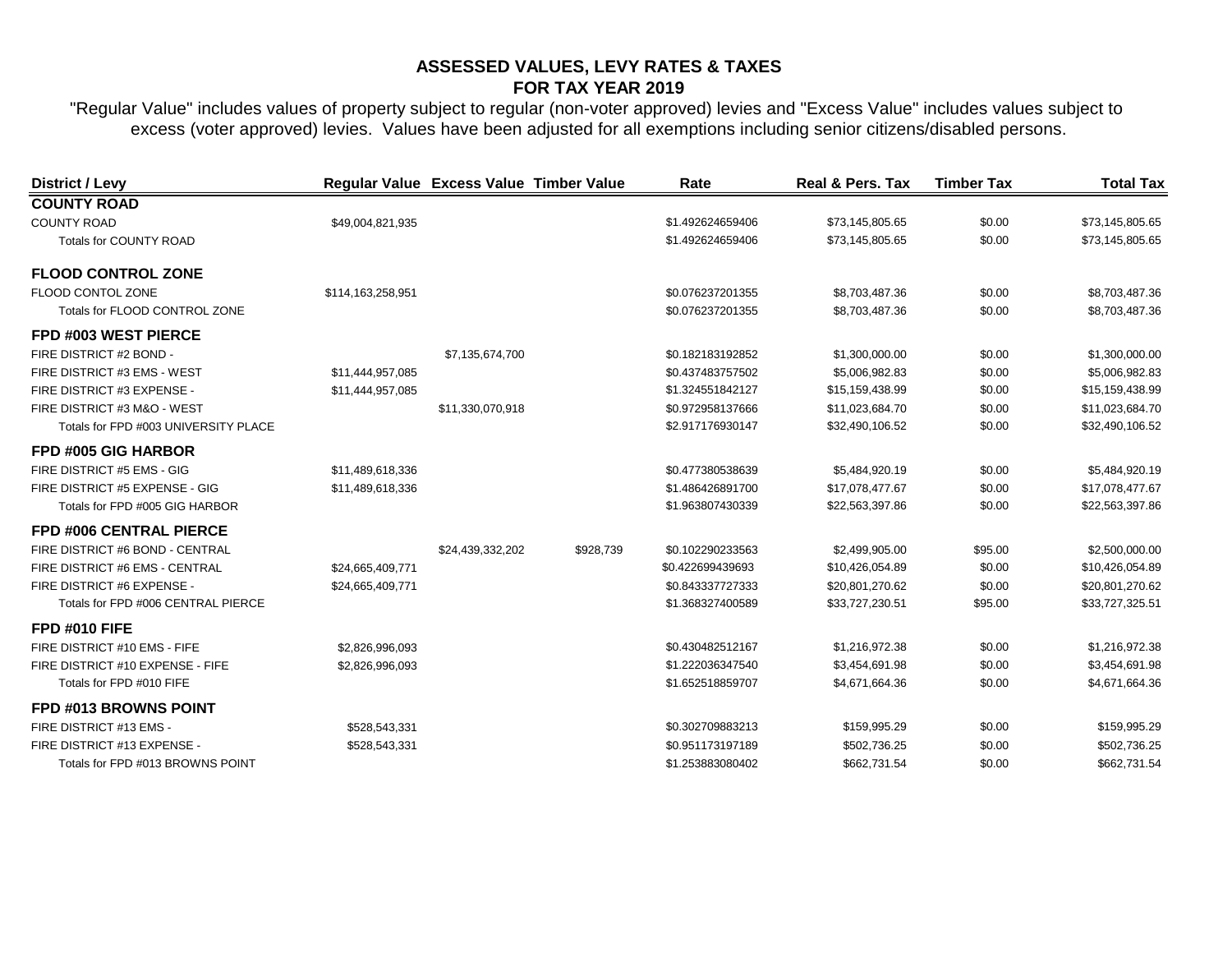| District / Levy                      |                   | Regular Value Excess Value Timber Value |           | Rate             | <b>Real &amp; Pers. Tax</b> | <b>Timber Tax</b> | <b>Total Tax</b> |
|--------------------------------------|-------------------|-----------------------------------------|-----------|------------------|-----------------------------|-------------------|------------------|
| <b>COUNTY ROAD</b>                   |                   |                                         |           |                  |                             |                   |                  |
| <b>COUNTY ROAD</b>                   | \$49,004,821,935  |                                         |           | \$1.492624659406 | \$73,145,805.65             | \$0.00            | \$73,145,805.65  |
| Totals for COUNTY ROAD               |                   |                                         |           | \$1.492624659406 | \$73,145,805.65             | \$0.00            | \$73,145,805.65  |
| <b>FLOOD CONTROL ZONE</b>            |                   |                                         |           |                  |                             |                   |                  |
| FLOOD CONTOL ZONE                    | \$114,163,258,951 |                                         |           | \$0.076237201355 | \$8,703,487.36              | \$0.00            | \$8,703,487.36   |
| Totals for FLOOD CONTROL ZONE        |                   |                                         |           | \$0.076237201355 | \$8,703,487.36              | \$0.00            | \$8,703,487.36   |
| FPD #003 WEST PIERCE                 |                   |                                         |           |                  |                             |                   |                  |
| FIRE DISTRICT #2 BOND -              |                   | \$7,135,674,700                         |           | \$0.182183192852 | \$1,300,000.00              | \$0.00            | \$1,300,000.00   |
| FIRE DISTRICT #3 EMS - WEST          | \$11,444,957,085  |                                         |           | \$0.437483757502 | \$5,006,982.83              | \$0.00            | \$5,006,982.83   |
| FIRE DISTRICT #3 EXPENSE -           | \$11,444,957,085  |                                         |           | \$1.324551842127 | \$15,159,438.99             | \$0.00            | \$15,159,438.99  |
| FIRE DISTRICT #3 M&O - WEST          |                   | \$11,330,070,918                        |           | \$0.972958137666 | \$11,023,684.70             | \$0.00            | \$11,023,684.70  |
| Totals for FPD #003 UNIVERSITY PLACE |                   |                                         |           | \$2.917176930147 | \$32,490,106.52             | \$0.00            | \$32,490,106.52  |
| FPD #005 GIG HARBOR                  |                   |                                         |           |                  |                             |                   |                  |
| FIRE DISTRICT #5 EMS - GIG           | \$11,489,618,336  |                                         |           | \$0.477380538639 | \$5,484,920.19              | \$0.00            | \$5,484,920.19   |
| FIRE DISTRICT #5 EXPENSE - GIG       | \$11,489,618,336  |                                         |           | \$1.486426891700 | \$17,078,477.67             | \$0.00            | \$17,078,477.67  |
| Totals for FPD #005 GIG HARBOR       |                   |                                         |           | \$1.963807430339 | \$22,563,397.86             | \$0.00            | \$22,563,397.86  |
| FPD #006 CENTRAL PIERCE              |                   |                                         |           |                  |                             |                   |                  |
| FIRE DISTRICT #6 BOND - CENTRAL      |                   | \$24,439,332,202                        | \$928,739 | \$0.102290233563 | \$2,499,905.00              | \$95.00           | \$2,500,000.00   |
| FIRE DISTRICT #6 EMS - CENTRAL       | \$24,665,409,771  |                                         |           | \$0.422699439693 | \$10,426,054.89             | \$0.00            | \$10,426,054.89  |
| FIRE DISTRICT #6 EXPENSE -           | \$24,665,409,771  |                                         |           | \$0.843337727333 | \$20,801,270.62             | \$0.00            | \$20,801,270.62  |
| Totals for FPD #006 CENTRAL PIERCE   |                   |                                         |           | \$1.368327400589 | \$33,727,230.51             | \$95.00           | \$33,727,325.51  |
| <b>FPD #010 FIFE</b>                 |                   |                                         |           |                  |                             |                   |                  |
| FIRE DISTRICT #10 EMS - FIFE         | \$2,826,996,093   |                                         |           | \$0.430482512167 | \$1,216,972.38              | \$0.00            | \$1,216,972.38   |
| FIRE DISTRICT #10 EXPENSE - FIFE     | \$2,826,996,093   |                                         |           | \$1.222036347540 | \$3,454,691.98              | \$0.00            | \$3,454,691.98   |
| Totals for FPD #010 FIFE             |                   |                                         |           | \$1.652518859707 | \$4,671,664.36              | \$0.00            | \$4,671,664.36   |
| FPD #013 BROWNS POINT                |                   |                                         |           |                  |                             |                   |                  |
| FIRE DISTRICT #13 EMS -              | \$528,543,331     |                                         |           | \$0.302709883213 | \$159,995.29                | \$0.00            | \$159,995.29     |
| FIRE DISTRICT #13 EXPENSE -          | \$528,543,331     |                                         |           | \$0.951173197189 | \$502,736.25                | \$0.00            | \$502,736.25     |
| Totals for FPD #013 BROWNS POINT     |                   |                                         |           | \$1.253883080402 | \$662,731.54                | \$0.00            | \$662,731.54     |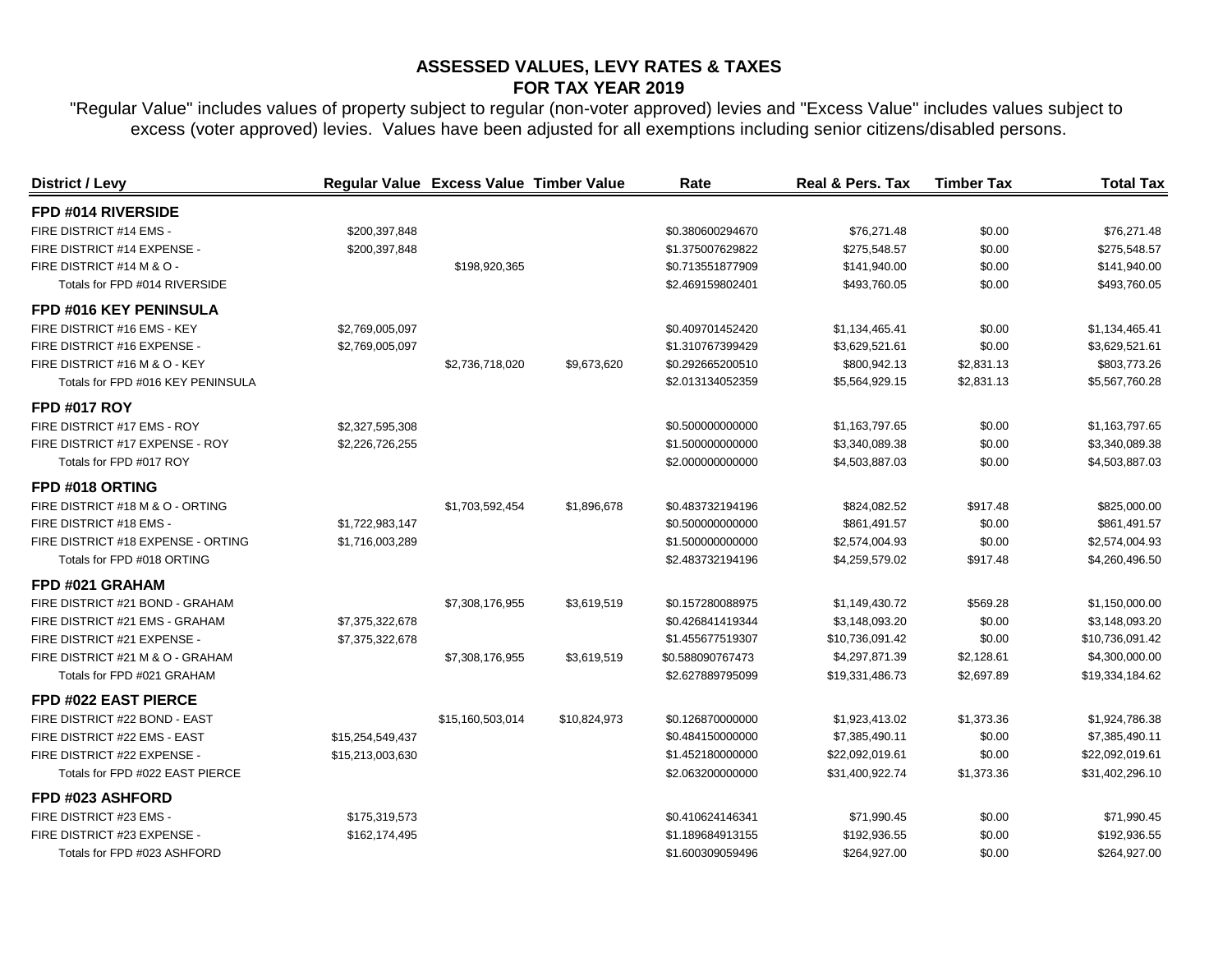| <b>District / Levy</b>             |                  | Regular Value Excess Value Timber Value |              | Rate             | Real & Pers. Tax | <b>Timber Tax</b> | <b>Total Tax</b> |
|------------------------------------|------------------|-----------------------------------------|--------------|------------------|------------------|-------------------|------------------|
| FPD #014 RIVERSIDE                 |                  |                                         |              |                  |                  |                   |                  |
| FIRE DISTRICT #14 EMS -            | \$200,397,848    |                                         |              | \$0.380600294670 | \$76,271.48      | \$0.00            | \$76,271.48      |
| FIRE DISTRICT #14 EXPENSE -        | \$200,397,848    |                                         |              | \$1.375007629822 | \$275,548.57     | \$0.00            | \$275,548.57     |
| FIRE DISTRICT #14 M & O -          |                  | \$198,920,365                           |              | \$0.713551877909 | \$141,940.00     | \$0.00            | \$141,940.00     |
| Totals for FPD #014 RIVERSIDE      |                  |                                         |              | \$2.469159802401 | \$493,760.05     | \$0.00            | \$493,760.05     |
| FPD #016 KEY PENINSULA             |                  |                                         |              |                  |                  |                   |                  |
| FIRE DISTRICT #16 EMS - KEY        | \$2,769,005,097  |                                         |              | \$0.409701452420 | \$1,134,465.41   | \$0.00            | \$1,134,465.41   |
| FIRE DISTRICT #16 EXPENSE -        | \$2,769,005,097  |                                         |              | \$1.310767399429 | \$3,629,521.61   | \$0.00            | \$3,629,521.61   |
| FIRE DISTRICT #16 M & O - KEY      |                  | \$2,736,718,020                         | \$9,673,620  | \$0.292665200510 | \$800,942.13     | \$2,831.13        | \$803,773.26     |
| Totals for FPD #016 KEY PENINSULA  |                  |                                         |              | \$2.013134052359 | \$5,564,929.15   | \$2,831.13        | \$5,567,760.28   |
| <b>FPD #017 ROY</b>                |                  |                                         |              |                  |                  |                   |                  |
| FIRE DISTRICT #17 EMS - ROY        | \$2,327,595,308  |                                         |              | \$0.500000000000 | \$1,163,797.65   | \$0.00            | \$1,163,797.65   |
| FIRE DISTRICT #17 EXPENSE - ROY    | \$2,226,726,255  |                                         |              | \$1.500000000000 | \$3,340,089.38   | \$0.00            | \$3,340,089.38   |
| Totals for FPD #017 ROY            |                  |                                         |              | \$2.000000000000 | \$4,503,887.03   | \$0.00            | \$4,503,887.03   |
| FPD #018 ORTING                    |                  |                                         |              |                  |                  |                   |                  |
| FIRE DISTRICT #18 M & O - ORTING   |                  | \$1,703,592,454                         | \$1,896,678  | \$0.483732194196 | \$824,082.52     | \$917.48          | \$825,000.00     |
| FIRE DISTRICT #18 EMS -            | \$1,722,983,147  |                                         |              | \$0.500000000000 | \$861,491.57     | \$0.00            | \$861,491.57     |
| FIRE DISTRICT #18 EXPENSE - ORTING | \$1,716,003,289  |                                         |              | \$1.500000000000 | \$2,574,004.93   | \$0.00            | \$2,574,004.93   |
| Totals for FPD #018 ORTING         |                  |                                         |              | \$2.483732194196 | \$4,259,579.02   | \$917.48          | \$4,260,496.50   |
| FPD #021 GRAHAM                    |                  |                                         |              |                  |                  |                   |                  |
| FIRE DISTRICT #21 BOND - GRAHAM    |                  | \$7,308,176,955                         | \$3,619,519  | \$0.157280088975 | \$1,149,430.72   | \$569.28          | \$1,150,000.00   |
| FIRE DISTRICT #21 EMS - GRAHAM     | \$7,375,322,678  |                                         |              | \$0.426841419344 | \$3,148,093.20   | \$0.00            | \$3,148,093.20   |
| FIRE DISTRICT #21 EXPENSE -        | \$7,375,322,678  |                                         |              | \$1.455677519307 | \$10,736,091.42  | \$0.00            | \$10,736,091.42  |
| FIRE DISTRICT #21 M & O - GRAHAM   |                  | \$7,308,176,955                         | \$3,619,519  | \$0.588090767473 | \$4,297,871.39   | \$2,128.61        | \$4,300,000.00   |
| Totals for FPD #021 GRAHAM         |                  |                                         |              | \$2.627889795099 | \$19,331,486.73  | \$2,697.89        | \$19,334,184.62  |
| FPD #022 EAST PIERCE               |                  |                                         |              |                  |                  |                   |                  |
| FIRE DISTRICT #22 BOND - EAST      |                  | \$15,160,503,014                        | \$10,824,973 | \$0.126870000000 | \$1,923,413.02   | \$1,373.36        | \$1,924,786.38   |
| FIRE DISTRICT #22 EMS - EAST       | \$15,254,549,437 |                                         |              | \$0.484150000000 | \$7,385,490.11   | \$0.00            | \$7,385,490.11   |
| FIRE DISTRICT #22 EXPENSE -        | \$15,213,003,630 |                                         |              | \$1.452180000000 | \$22,092,019.61  | \$0.00            | \$22,092,019.61  |
| Totals for FPD #022 EAST PIERCE    |                  |                                         |              | \$2.063200000000 | \$31,400,922.74  | \$1,373.36        | \$31,402,296.10  |
| FPD #023 ASHFORD                   |                  |                                         |              |                  |                  |                   |                  |
| FIRE DISTRICT #23 EMS -            | \$175,319,573    |                                         |              | \$0.410624146341 | \$71,990.45      | \$0.00            | \$71,990.45      |
| FIRE DISTRICT #23 EXPENSE -        | \$162,174,495    |                                         |              | \$1.189684913155 | \$192,936.55     | \$0.00            | \$192,936.55     |
| Totals for FPD #023 ASHFORD        |                  |                                         |              | \$1.600309059496 | \$264,927.00     | \$0.00            | \$264,927.00     |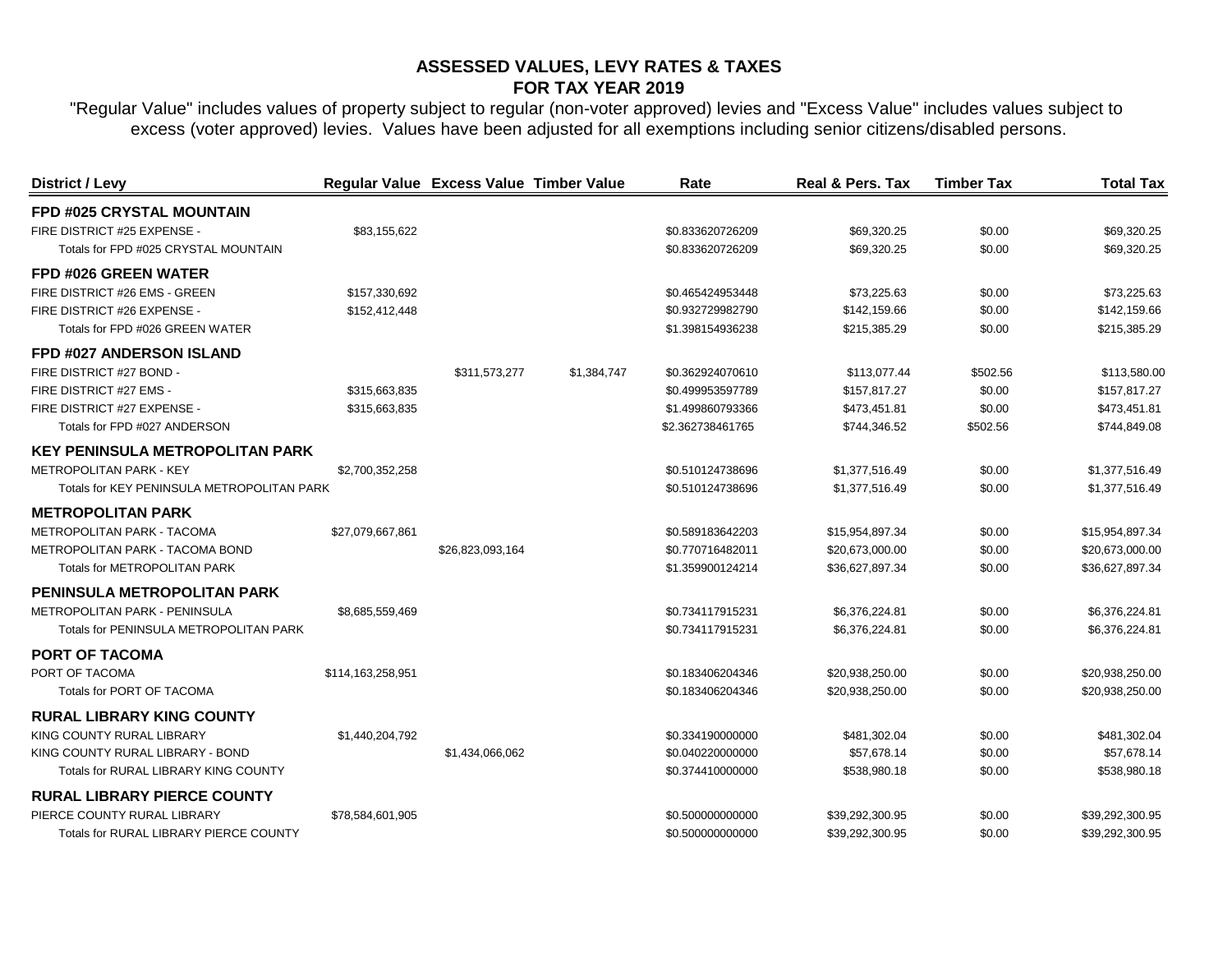| District / Levy                            |                   | Regular Value Excess Value Timber Value |             | Rate             | <b>Real &amp; Pers. Tax</b> | <b>Timber Tax</b> | <b>Total Tax</b> |
|--------------------------------------------|-------------------|-----------------------------------------|-------------|------------------|-----------------------------|-------------------|------------------|
| <b>FPD #025 CRYSTAL MOUNTAIN</b>           |                   |                                         |             |                  |                             |                   |                  |
| FIRE DISTRICT #25 EXPENSE -                | \$83,155,622      |                                         |             | \$0.833620726209 | \$69,320.25                 | \$0.00            | \$69,320.25      |
| Totals for FPD #025 CRYSTAL MOUNTAIN       |                   |                                         |             | \$0.833620726209 | \$69,320.25                 | \$0.00            | \$69,320.25      |
| FPD #026 GREEN WATER                       |                   |                                         |             |                  |                             |                   |                  |
| FIRE DISTRICT #26 EMS - GREEN              | \$157,330,692     |                                         |             | \$0.465424953448 | \$73,225.63                 | \$0.00            | \$73,225.63      |
| FIRE DISTRICT #26 EXPENSE -                | \$152,412,448     |                                         |             | \$0.932729982790 | \$142,159.66                | \$0.00            | \$142,159.66     |
| Totals for FPD #026 GREEN WATER            |                   |                                         |             | \$1.398154936238 | \$215,385.29                | \$0.00            | \$215,385.29     |
| <b>FPD #027 ANDERSON ISLAND</b>            |                   |                                         |             |                  |                             |                   |                  |
| FIRE DISTRICT #27 BOND -                   |                   | \$311,573,277                           | \$1,384,747 | \$0.362924070610 | \$113,077.44                | \$502.56          | \$113,580.00     |
| FIRE DISTRICT #27 EMS -                    | \$315,663,835     |                                         |             | \$0.499953597789 | \$157,817.27                | \$0.00            | \$157,817.27     |
| FIRE DISTRICT #27 EXPENSE -                | \$315,663,835     |                                         |             | \$1.499860793366 | \$473,451.81                | \$0.00            | \$473,451.81     |
| Totals for FPD #027 ANDERSON               |                   |                                         |             | \$2.362738461765 | \$744,346.52                | \$502.56          | \$744,849.08     |
| <b>KEY PENINSULA METROPOLITAN PARK</b>     |                   |                                         |             |                  |                             |                   |                  |
| <b>METROPOLITAN PARK - KEY</b>             | \$2,700,352,258   |                                         |             | \$0.510124738696 | \$1,377,516.49              | \$0.00            | \$1,377,516.49   |
| Totals for KEY PENINSULA METROPOLITAN PARK |                   |                                         |             | \$0.510124738696 | \$1,377,516.49              | \$0.00            | \$1,377,516.49   |
| <b>METROPOLITAN PARK</b>                   |                   |                                         |             |                  |                             |                   |                  |
| <b>METROPOLITAN PARK - TACOMA</b>          | \$27,079,667,861  |                                         |             | \$0.589183642203 | \$15,954,897.34             | \$0.00            | \$15,954,897.34  |
| METROPOLITAN PARK - TACOMA BOND            |                   | \$26,823,093,164                        |             | \$0.770716482011 | \$20,673,000.00             | \$0.00            | \$20,673,000.00  |
| Totals for METROPOLITAN PARK               |                   |                                         |             | \$1.359900124214 | \$36,627,897.34             | \$0.00            | \$36,627,897.34  |
| PENINSULA METROPOLITAN PARK                |                   |                                         |             |                  |                             |                   |                  |
| <b>METROPOLITAN PARK - PENINSULA</b>       | \$8,685,559,469   |                                         |             | \$0.734117915231 | \$6,376,224.81              | \$0.00            | \$6,376,224.81   |
| Totals for PENINSULA METROPOLITAN PARK     |                   |                                         |             | \$0.734117915231 | \$6,376,224.81              | \$0.00            | \$6,376,224.81   |
| <b>PORT OF TACOMA</b>                      |                   |                                         |             |                  |                             |                   |                  |
| PORT OF TACOMA                             | \$114,163,258,951 |                                         |             | \$0.183406204346 | \$20,938,250.00             | \$0.00            | \$20,938,250.00  |
| Totals for PORT OF TACOMA                  |                   |                                         |             | \$0.183406204346 | \$20,938,250.00             | \$0.00            | \$20,938,250.00  |
| <b>RURAL LIBRARY KING COUNTY</b>           |                   |                                         |             |                  |                             |                   |                  |
| KING COUNTY RURAL LIBRARY                  | \$1,440,204,792   |                                         |             | \$0.334190000000 | \$481,302.04                | \$0.00            | \$481,302.04     |
| KING COUNTY RURAL LIBRARY - BOND           |                   | \$1,434,066,062                         |             | \$0.040220000000 | \$57,678.14                 | \$0.00            | \$57,678.14      |
| Totals for RURAL LIBRARY KING COUNTY       |                   |                                         |             | \$0.374410000000 | \$538,980.18                | \$0.00            | \$538,980.18     |
| <b>RURAL LIBRARY PIERCE COUNTY</b>         |                   |                                         |             |                  |                             |                   |                  |
| PIERCE COUNTY RURAL LIBRARY                | \$78,584,601,905  |                                         |             | \$0.500000000000 | \$39,292,300.95             | \$0.00            | \$39,292,300.95  |
| Totals for RURAL LIBRARY PIERCE COUNTY     |                   |                                         |             | \$0.500000000000 | \$39,292,300.95             | \$0.00            | \$39,292,300.95  |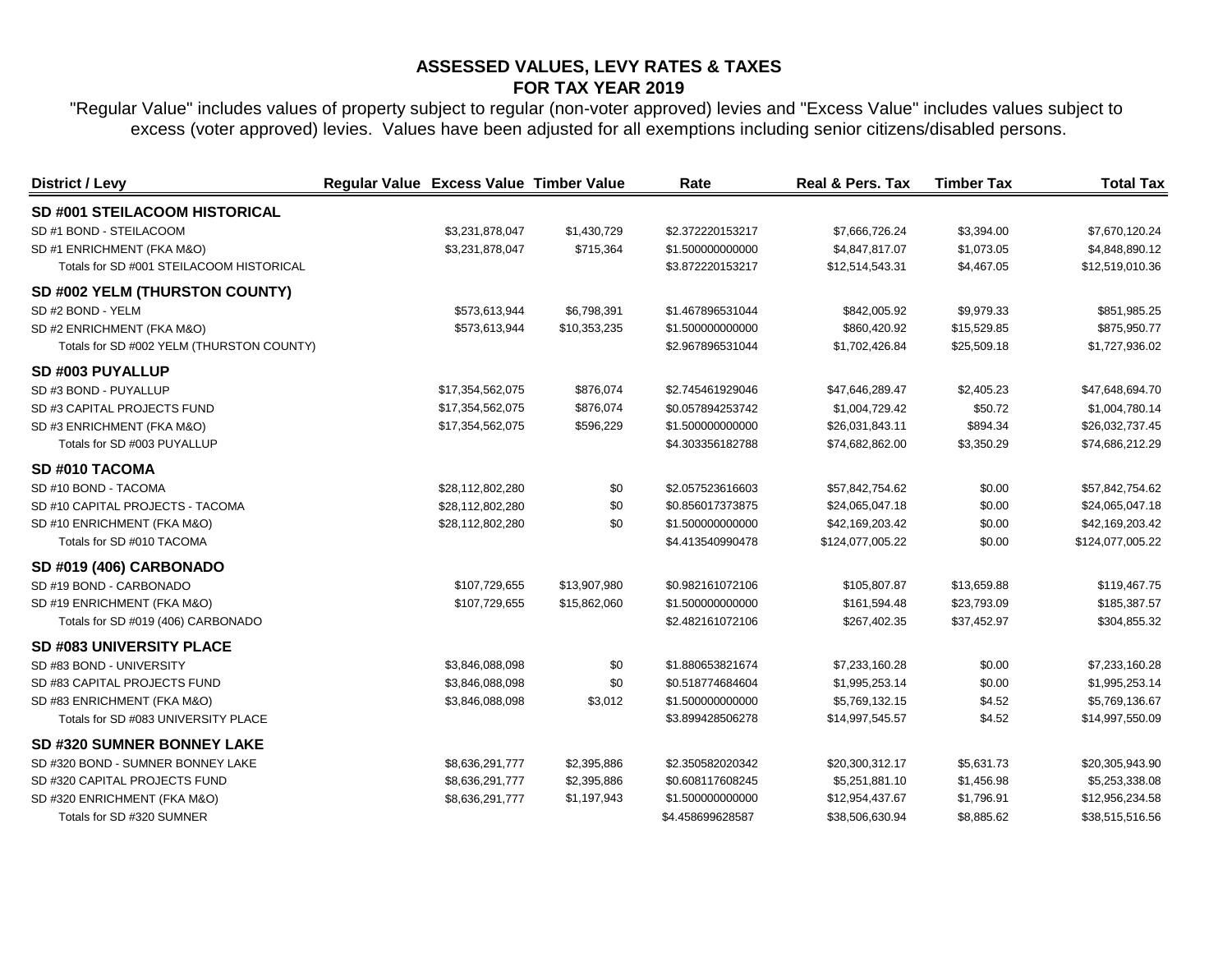| District / Levy                           | Regular Value Excess Value Timber Value |                  |              | Rate             | Real & Pers. Tax | <b>Timber Tax</b> | <b>Total Tax</b> |
|-------------------------------------------|-----------------------------------------|------------------|--------------|------------------|------------------|-------------------|------------------|
| SD #001 STEILACOOM HISTORICAL             |                                         |                  |              |                  |                  |                   |                  |
| SD #1 BOND - STEILACOOM                   |                                         | \$3,231,878,047  | \$1,430,729  | \$2.372220153217 | \$7,666,726.24   | \$3,394.00        | \$7,670,120.24   |
| SD #1 ENRICHMENT (FKA M&O)                |                                         | \$3,231,878,047  | \$715,364    | \$1.500000000000 | \$4,847,817.07   | \$1,073.05        | \$4,848,890.12   |
| Totals for SD #001 STEILACOOM HISTORICAL  |                                         |                  |              | \$3.872220153217 | \$12,514,543.31  | \$4,467.05        | \$12,519,010.36  |
| SD #002 YELM (THURSTON COUNTY)            |                                         |                  |              |                  |                  |                   |                  |
| SD #2 BOND - YELM                         |                                         | \$573,613,944    | \$6,798,391  | \$1.467896531044 | \$842,005.92     | \$9,979.33        | \$851,985.25     |
| SD #2 ENRICHMENT (FKA M&O)                |                                         | \$573,613,944    | \$10,353,235 | \$1.500000000000 | \$860,420.92     | \$15,529.85       | \$875,950.77     |
| Totals for SD #002 YELM (THURSTON COUNTY) |                                         |                  |              | \$2.967896531044 | \$1,702,426.84   | \$25,509.18       | \$1,727,936.02   |
| SD #003 PUYALLUP                          |                                         |                  |              |                  |                  |                   |                  |
| SD #3 BOND - PUYALLUP                     |                                         | \$17,354,562,075 | \$876,074    | \$2.745461929046 | \$47,646,289.47  | \$2,405.23        | \$47,648,694.70  |
| SD #3 CAPITAL PROJECTS FUND               |                                         | \$17,354,562,075 | \$876,074    | \$0.057894253742 | \$1,004,729.42   | \$50.72           | \$1,004,780.14   |
| SD #3 ENRICHMENT (FKA M&O)                |                                         | \$17,354,562,075 | \$596,229    | \$1.500000000000 | \$26,031,843.11  | \$894.34          | \$26,032,737.45  |
| Totals for SD #003 PUYALLUP               |                                         |                  |              | \$4.303356182788 | \$74,682,862.00  | \$3,350.29        | \$74,686,212.29  |
| SD #010 TACOMA                            |                                         |                  |              |                  |                  |                   |                  |
| SD #10 BOND - TACOMA                      |                                         | \$28,112,802,280 | \$0          | \$2.057523616603 | \$57,842,754.62  | \$0.00            | \$57,842,754.62  |
| SD #10 CAPITAL PROJECTS - TACOMA          |                                         | \$28,112,802,280 | \$0          | \$0.856017373875 | \$24,065,047.18  | \$0.00            | \$24,065,047.18  |
| SD #10 ENRICHMENT (FKA M&O)               |                                         | \$28,112,802,280 | \$0          | \$1.500000000000 | \$42,169,203.42  | \$0.00            | \$42,169,203.42  |
| Totals for SD #010 TACOMA                 |                                         |                  |              | \$4.413540990478 | \$124,077,005.22 | \$0.00            | \$124,077,005.22 |
| SD #019 (406) CARBONADO                   |                                         |                  |              |                  |                  |                   |                  |
| SD #19 BOND - CARBONADO                   |                                         | \$107,729,655    | \$13,907,980 | \$0.982161072106 | \$105,807.87     | \$13,659.88       | \$119,467.75     |
| SD #19 ENRICHMENT (FKA M&O)               |                                         | \$107,729,655    | \$15,862,060 | \$1.500000000000 | \$161,594.48     | \$23,793.09       | \$185,387.57     |
| Totals for SD #019 (406) CARBONADO        |                                         |                  |              | \$2.482161072106 | \$267,402.35     | \$37,452.97       | \$304,855.32     |
| <b>SD #083 UNIVERSITY PLACE</b>           |                                         |                  |              |                  |                  |                   |                  |
| SD #83 BOND - UNIVERSITY                  |                                         | \$3,846,088,098  | \$0          | \$1.880653821674 | \$7,233,160.28   | \$0.00            | \$7,233,160.28   |
| SD #83 CAPITAL PROJECTS FUND              |                                         | \$3,846,088,098  | \$0          | \$0.518774684604 | \$1,995,253.14   | \$0.00            | \$1,995,253.14   |
| SD #83 ENRICHMENT (FKA M&O)               |                                         | \$3,846,088,098  | \$3,012      | \$1.500000000000 | \$5,769,132.15   | \$4.52            | \$5,769,136.67   |
| Totals for SD #083 UNIVERSITY PLACE       |                                         |                  |              | \$3.899428506278 | \$14,997,545.57  | \$4.52            | \$14,997,550.09  |
| <b>SD #320 SUMNER BONNEY LAKE</b>         |                                         |                  |              |                  |                  |                   |                  |
| SD #320 BOND - SUMNER BONNEY LAKE         |                                         | \$8,636,291,777  | \$2,395,886  | \$2.350582020342 | \$20,300,312.17  | \$5,631.73        | \$20,305,943.90  |
| SD #320 CAPITAL PROJECTS FUND             |                                         | \$8,636,291,777  | \$2,395,886  | \$0.608117608245 | \$5,251,881.10   | \$1,456.98        | \$5,253,338.08   |
| SD #320 ENRICHMENT (FKA M&O)              |                                         | \$8,636,291,777  | \$1,197,943  | \$1.500000000000 | \$12,954,437.67  | \$1,796.91        | \$12,956,234.58  |
| Totals for SD #320 SUMNER                 |                                         |                  |              | \$4.458699628587 | \$38,506,630.94  | \$8,885.62        | \$38,515,516.56  |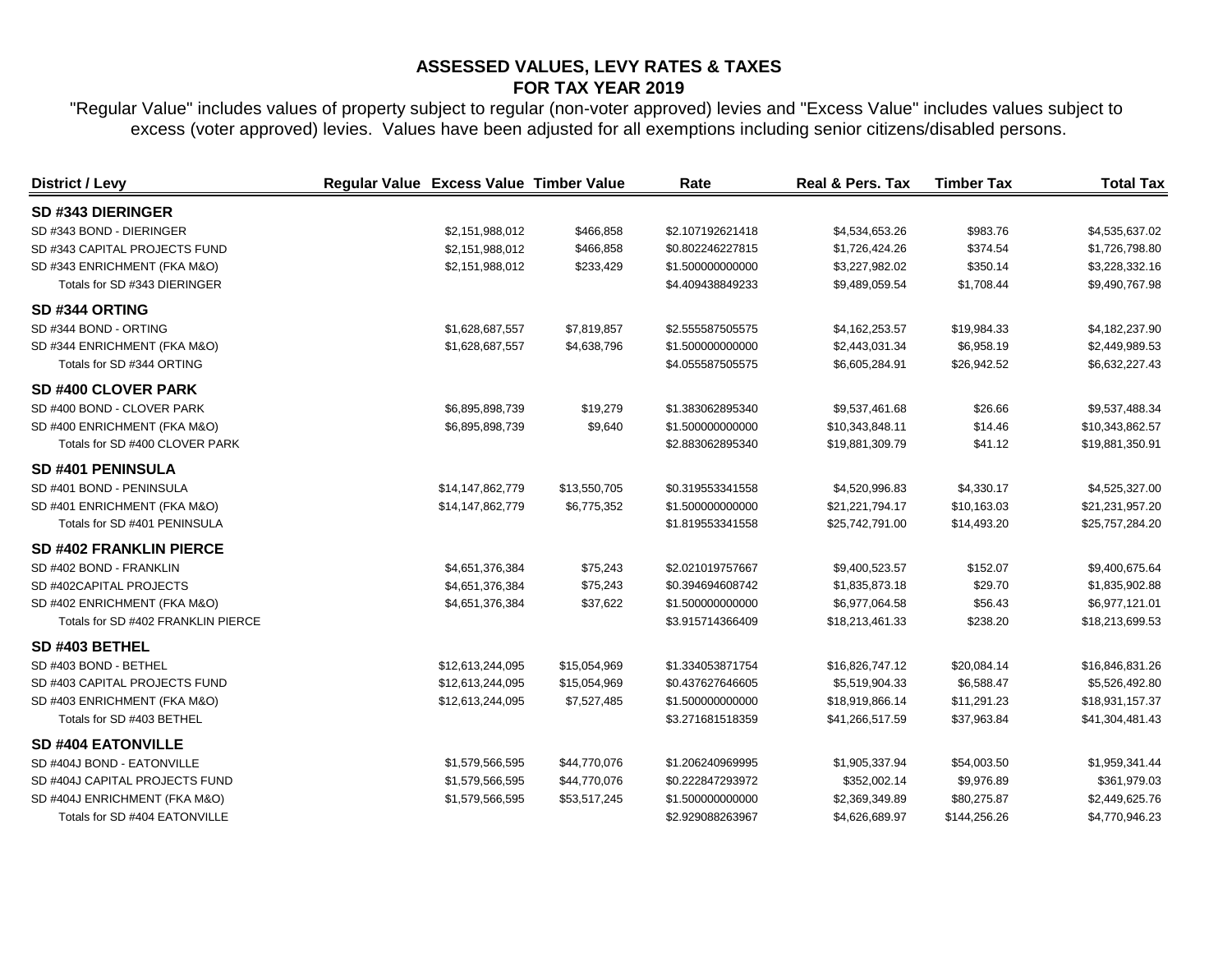| <b>District / Levy</b>             | Regular Value Excess Value Timber Value |              | Rate             | Real & Pers. Tax | <b>Timber Tax</b> | <b>Total Tax</b> |
|------------------------------------|-----------------------------------------|--------------|------------------|------------------|-------------------|------------------|
| SD #343 DIERINGER                  |                                         |              |                  |                  |                   |                  |
| SD #343 BOND - DIERINGER           | \$2,151,988,012                         | \$466,858    | \$2.107192621418 | \$4,534,653.26   | \$983.76          | \$4,535,637.02   |
| SD #343 CAPITAL PROJECTS FUND      | \$2,151,988,012                         | \$466,858    | \$0.802246227815 | \$1,726,424.26   | \$374.54          | \$1,726,798.80   |
| SD #343 ENRICHMENT (FKA M&O)       | \$2,151,988,012                         | \$233,429    | \$1.500000000000 | \$3,227,982.02   | \$350.14          | \$3,228,332.16   |
| Totals for SD #343 DIERINGER       |                                         |              | \$4.409438849233 | \$9,489,059.54   | \$1,708.44        | \$9,490,767.98   |
| SD #344 ORTING                     |                                         |              |                  |                  |                   |                  |
| SD #344 BOND - ORTING              | \$1,628,687,557                         | \$7,819,857  | \$2.555587505575 | \$4,162,253.57   | \$19,984.33       | \$4,182,237.90   |
| SD #344 ENRICHMENT (FKA M&O)       | \$1,628,687,557                         | \$4,638,796  | \$1.500000000000 | \$2,443,031.34   | \$6,958.19        | \$2,449,989.53   |
| Totals for SD #344 ORTING          |                                         |              | \$4.055587505575 | \$6,605,284.91   | \$26,942.52       | \$6,632,227.43   |
| <b>SD #400 CLOVER PARK</b>         |                                         |              |                  |                  |                   |                  |
| SD #400 BOND - CLOVER PARK         | \$6,895,898,739                         | \$19,279     | \$1.383062895340 | \$9,537,461.68   | \$26.66           | \$9,537,488.34   |
| SD #400 ENRICHMENT (FKA M&O)       | \$6,895,898,739                         | \$9,640      | \$1.500000000000 | \$10,343,848.11  | \$14.46           | \$10,343,862.57  |
| Totals for SD #400 CLOVER PARK     |                                         |              | \$2.883062895340 | \$19,881,309.79  | \$41.12           | \$19,881,350.91  |
| SD #401 PENINSULA                  |                                         |              |                  |                  |                   |                  |
| SD #401 BOND - PENINSULA           | \$14,147,862,779                        | \$13,550,705 | \$0.319553341558 | \$4,520,996.83   | \$4,330.17        | \$4,525,327.00   |
| SD #401 ENRICHMENT (FKA M&O)       | \$14,147,862,779                        | \$6,775,352  | \$1.500000000000 | \$21,221,794.17  | \$10,163.03       | \$21,231,957.20  |
| Totals for SD #401 PENINSULA       |                                         |              | \$1.819553341558 | \$25,742,791.00  | \$14,493.20       | \$25,757,284.20  |
| <b>SD #402 FRANKLIN PIERCE</b>     |                                         |              |                  |                  |                   |                  |
| SD #402 BOND - FRANKLIN            | \$4,651,376,384                         | \$75,243     | \$2.021019757667 | \$9,400,523.57   | \$152.07          | \$9,400,675.64   |
| SD #402CAPITAL PROJECTS            | \$4,651,376,384                         | \$75,243     | \$0.394694608742 | \$1,835,873.18   | \$29.70           | \$1,835,902.88   |
| SD #402 ENRICHMENT (FKA M&O)       | \$4,651,376,384                         | \$37,622     | \$1.500000000000 | \$6,977,064.58   | \$56.43           | \$6,977,121.01   |
| Totals for SD #402 FRANKLIN PIERCE |                                         |              | \$3.915714366409 | \$18,213,461.33  | \$238.20          | \$18,213,699.53  |
| SD #403 BETHEL                     |                                         |              |                  |                  |                   |                  |
| SD #403 BOND - BETHEL              | \$12,613,244,095                        | \$15,054,969 | \$1.334053871754 | \$16,826,747.12  | \$20,084.14       | \$16,846,831.26  |
| SD #403 CAPITAL PROJECTS FUND      | \$12,613,244,095                        | \$15,054,969 | \$0.437627646605 | \$5,519,904.33   | \$6,588.47        | \$5,526,492.80   |
| SD #403 ENRICHMENT (FKA M&O)       | \$12,613,244,095                        | \$7,527,485  | \$1.500000000000 | \$18,919,866.14  | \$11,291.23       | \$18,931,157.37  |
| Totals for SD #403 BETHEL          |                                         |              | \$3.271681518359 | \$41,266,517.59  | \$37,963.84       | \$41,304,481.43  |
| <b>SD #404 EATONVILLE</b>          |                                         |              |                  |                  |                   |                  |
| SD #404J BOND - EATONVILLE         | \$1,579,566,595                         | \$44,770,076 | \$1.206240969995 | \$1,905,337.94   | \$54,003.50       | \$1,959,341.44   |
| SD #404J CAPITAL PROJECTS FUND     | \$1,579,566,595                         | \$44,770,076 | \$0.222847293972 | \$352,002.14     | \$9,976.89        | \$361,979.03     |
| SD #404J ENRICHMENT (FKA M&O)      | \$1,579,566,595                         | \$53,517,245 | \$1.500000000000 | \$2,369,349.89   | \$80,275.87       | \$2,449,625.76   |
| Totals for SD #404 EATONVILLE      |                                         |              | \$2.929088263967 | \$4,626,689.97   | \$144,256.26      | \$4,770,946.23   |